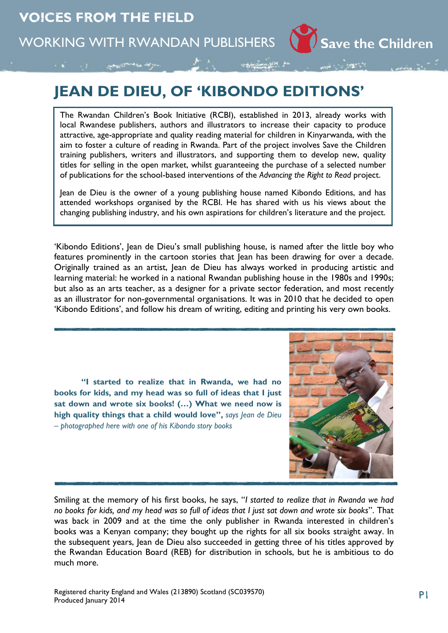

The Rwandan Children's Book Initiative (RCBI), established in 2013, already works with local Rwandese publishers, authors and illustrators to increase their capacity to produce attractive, age-appropriate and quality reading material for children in Kinyarwanda, with the aim to foster a culture of reading in Rwanda. Part of the project involves Save the Children training publishers, writers and illustrators, and supporting them to develop new, quality titles for selling in the open market, whilst guaranteeing the purchase of a selected number of publications for the school-based interventions of the *Advancing the Right to Read* project.

Jean de Dieu is the owner of a young publishing house named Kibondo Editions, and has attended workshops organised by the RCBI. He has shared with us his views about the changing publishing industry, and his own aspirations for children's literature and the project.

'Kibondo Editions', Jean de Dieu's small publishing house, is named after the little boy who features prominently in the cartoon stories that Jean has been drawing for over a decade. Originally trained as an artist, Jean de Dieu has always worked in producing artistic and learning material: he worked in a national Rwandan publishing house in the 1980s and 1990s; but also as an arts teacher, as a designer for a private sector federation, and most recently as an illustrator for non-governmental organisations. It was in 2010 that he decided to open 'Kibondo Editions', and follow his dream of writing, editing and printing his very own books.

**"I started to realize that in Rwanda, we had no books for kids, and my head was so full of ideas that I just sat down and wrote six books! (…) What we need now is high quality things that a child would love",** *says Jean de Dieu – photographed here with one of his Kibondo story books*



Save the Children

Smiling at the memory of his first books, he says, "*I started to realize that in Rwanda we had no books for kids, and my head was so full of ideas that I just sat down and wrote six books*". That was back in 2009 and at the time the only publisher in Rwanda interested in children's books was a Kenyan company; they bought up the rights for all six books straight away. In the subsequent years, Jean de Dieu also succeeded in getting three of his titles approved by the Rwandan Education Board (REB) for distribution in schools, but he is ambitious to do much more.